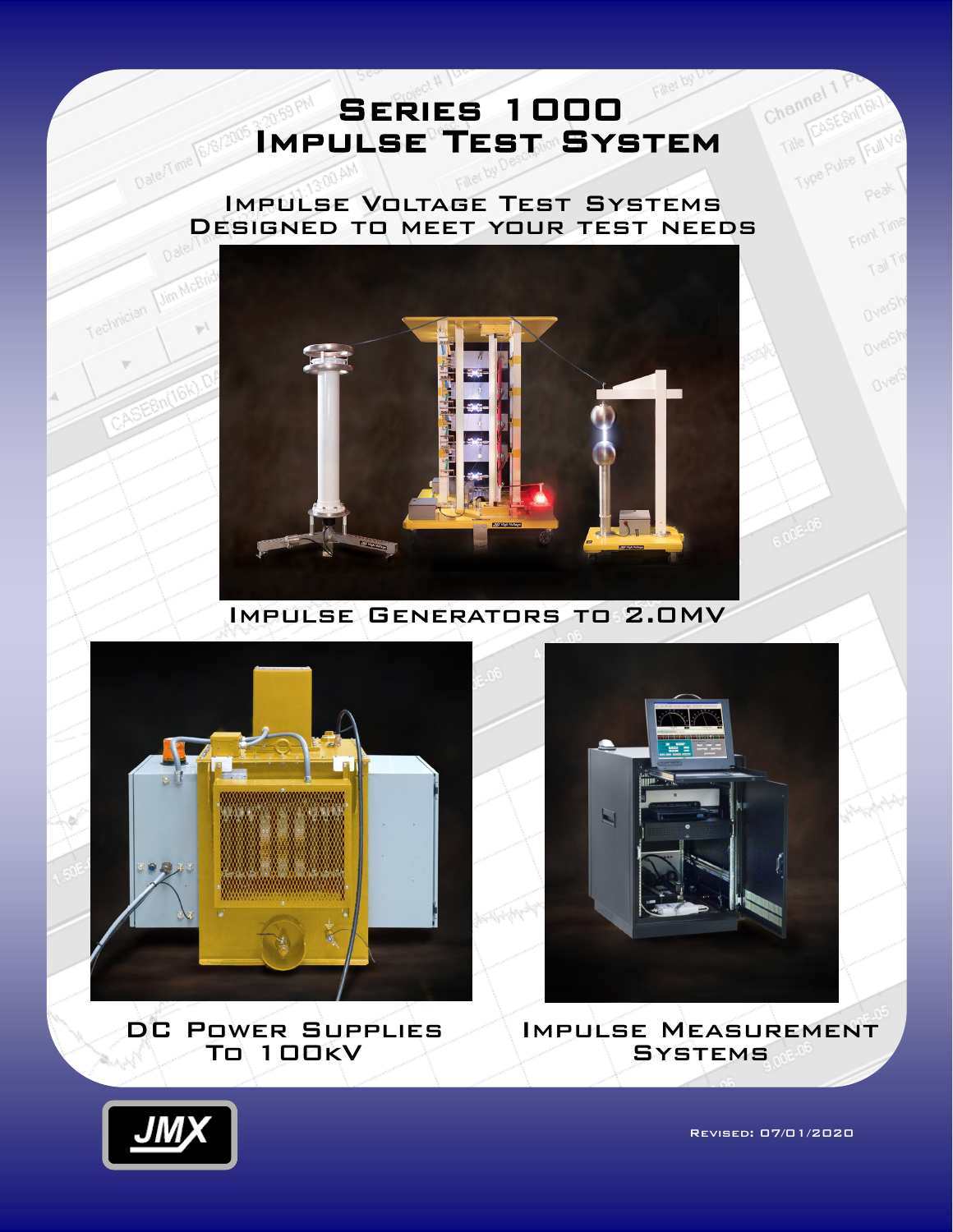# **SERIES 1000** Impulse Test System

### Impulse Voltage Test Systems Designed to meet your test needs



Impulse Generators to 2.0MV



DC Power Supplies To 100kV



Impulse Measurement Systems



MCB

Revised: 07/01/2020

Channel<sup>1</sup>

Front Time

T list

Overs

Orig

Over